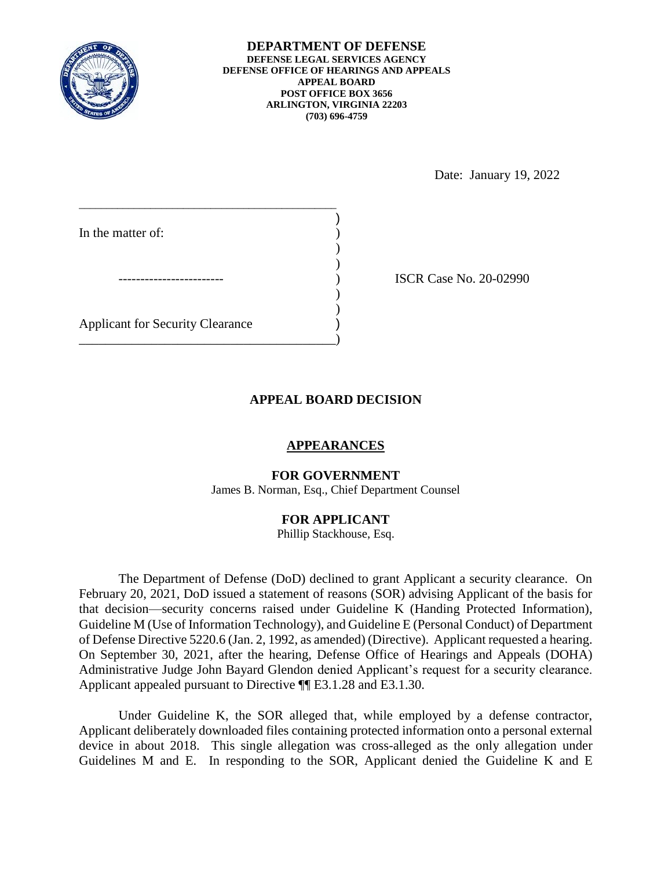

**DEPARTMENT OF DEFENSE DEFENSE LEGAL SERVICES AGENCY DEFENSE OFFICE OF HEARINGS AND APPEALS APPEAL BOARD POST OFFICE BOX 3656 ARLINGTON, VIRGINIA 22203 (703) 696-4759** 

Date: January 19, 2022

| In the matter of:                       |  |
|-----------------------------------------|--|
|                                         |  |
|                                         |  |
|                                         |  |
| <b>Applicant for Security Clearance</b> |  |

) ISCR Case No. 20-02990

## **APPEAL BOARD DECISION**

## **APPEARANCES**

### **FOR GOVERNMENT**

James B. Norman, Esq., Chief Department Counsel

### **FOR APPLICANT**

Phillip Stackhouse, Esq.

 The Department of Defense (DoD) declined to grant Applicant a security clearance. On February 20, 2021, DoD issued a statement of reasons (SOR) advising Applicant of the basis for Guideline M (Use of Information Technology), and Guideline E (Personal Conduct) of Department of Defense Directive 5220.6 (Jan. 2, 1992, as amended) (Directive). Applicant requested a hearing. On September 30, 2021, after the hearing, Defense Office of Hearings and Appeals (DOHA) Administrative Judge John Bayard Glendon denied Applicant's request for a security clearance. that decision—security concerns raised under Guideline K (Handing Protected Information), Applicant appealed pursuant to Directive ¶¶ E3.1.28 and E3.1.30.

 Under Guideline K, the SOR alleged that, while employed by a defense contractor, Applicant deliberately downloaded files containing protected information onto a personal external Guidelines M and E. In responding to the SOR, Applicant denied the Guideline K and E device in about 2018. This single allegation was cross-alleged as the only allegation under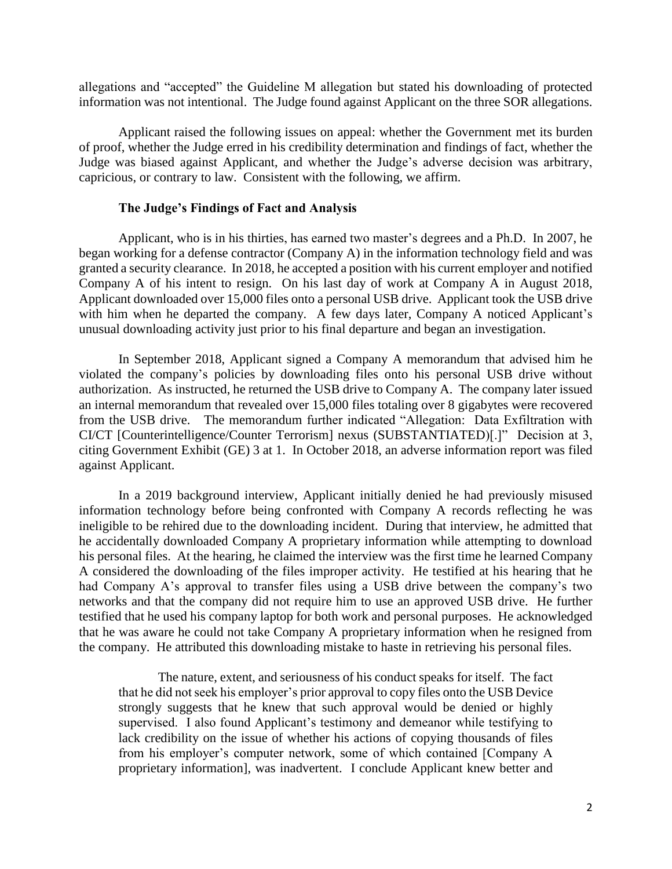information was not intentional. The Judge found against Applicant on the three SOR allegations. allegations and "accepted" the Guideline M allegation but stated his downloading of protected

 Applicant raised the following issues on appeal: whether the Government met its burden of proof, whether the Judge erred in his credibility determination and findings of fact, whether the Judge was biased against Applicant, and whether the Judge's adverse decision was arbitrary, capricious, or contrary to law. Consistent with the following, we affirm.

### **The Judge's Findings of Fact and Analysis**

 began working for a defense contractor (Company A) in the information technology field and was granted a security clearance. In 2018, he accepted a position with his current employer and notified Company A of his intent to resign. On his last day of work at Company A in August 2018, Applicant downloaded over 15,000 files onto a personal USB drive. Applicant took the USB drive with him when he departed the company. A few days later, Company A noticed Applicant's unusual downloading activity just prior to his final departure and began an investigation. Applicant, who is in his thirties, has earned two master's degrees and a Ph.D. In 2007, he

 In September 2018, Applicant signed a Company A memorandum that advised him he violated the company's policies by downloading files onto his personal USB drive without authorization. As instructed, he returned the USB drive to Company A. The company later issued from the USB drive. The memorandum further indicated "Allegation: Data Exfiltration with CI/CT [Counterintelligence/Counter Terrorism] nexus (SUBSTANTIATED)[.]" Decision at 3, an internal memorandum that revealed over 15,000 files totaling over 8 gigabytes were recovered citing Government Exhibit (GE) 3 at 1. In October 2018, an adverse information report was filed against Applicant.

 information technology before being confronted with Company A records reflecting he was he accidentally downloaded Company A proprietary information while attempting to download his personal files. At the hearing, he claimed the interview was the first time he learned Company A considered the downloading of the files improper activity. He testified at his hearing that he had Company A's approval to transfer files using a USB drive between the company's two networks and that the company did not require him to use an approved USB drive. He further testified that he used his company laptop for both work and personal purposes. He acknowledged that he was aware he could not take Company A proprietary information when he resigned from In a 2019 background interview, Applicant initially denied he had previously misused ineligible to be rehired due to the downloading incident. During that interview, he admitted that the company. He attributed this downloading mistake to haste in retrieving his personal files.

 The nature, extent, and seriousness of his conduct speaks for itself. The fact that he did not seek his employer's prior approval to copy files onto the USB Device strongly suggests that he knew that such approval would be denied or highly supervised. I also found Applicant's testimony and demeanor while testifying to lack credibility on the issue of whether his actions of copying thousands of files from his employer's computer network, some of which contained [Company A proprietary information], was inadvertent. I conclude Applicant knew better and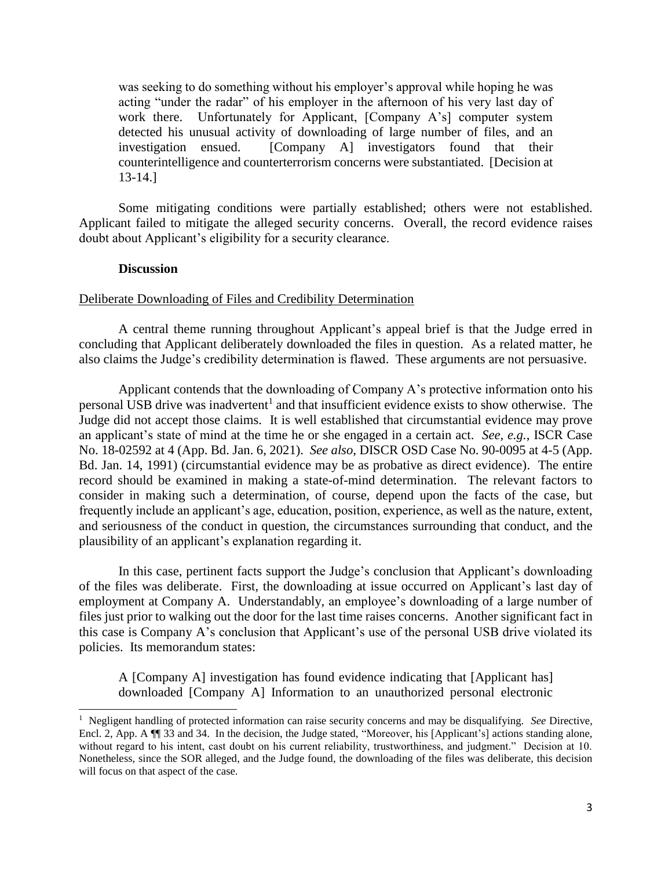was seeking to do something without his employer's approval while hoping he was acting "under the radar" of his employer in the afternoon of his very last day of work there. Unfortunately for Applicant, [Company A's] computer system detected his unusual activity of downloading of large number of files, and an investigation ensued. [Company A] investigators found that their counterintelligence and counterterrorism concerns were substantiated. [Decision at 13-14.]

 Applicant failed to mitigate the alleged security concerns. Overall, the record evidence raises Some mitigating conditions were partially established; others were not established. doubt about Applicant's eligibility for a security clearance.

#### **Discussion**

 $\overline{a}$ 

#### Deliberate Downloading of Files and Credibility Determination

 concluding that Applicant deliberately downloaded the files in question. As a related matter, he A central theme running throughout Applicant's appeal brief is that the Judge erred in also claims the Judge's credibility determination is flawed. These arguments are not persuasive.

 Judge did not accept those claims. It is well established that circumstantial evidence may prove an applicant's state of mind at the time he or she engaged in a certain act. *See, e.g.*, ISCR Case Bd. Jan. 14, 1991) (circumstantial evidence may be as probative as direct evidence). The entire record should be examined in making a state-of-mind determination. The relevant factors to consider in making such a determination, of course, depend upon the facts of the case, but frequently include an applicant's age, education, position, experience, as well as the nature, extent, Applicant contends that the downloading of Company A's protective information onto his personal USB drive was inadvertent<sup>1</sup> and that insufficient evidence exists to show otherwise. The No. 18-02592 at 4 (App. Bd. Jan. 6, 2021). *See also*, DISCR OSD Case No. 90-0095 at 4-5 (App. and seriousness of the conduct in question, the circumstances surrounding that conduct, and the plausibility of an applicant's explanation regarding it.

 of the files was deliberate. First, the downloading at issue occurred on Applicant's last day of employment at Company A. Understandably, an employee's downloading of a large number of files just prior to walking out the door for the last time raises concerns. Another significant fact in this case is Company A's conclusion that Applicant's use of the personal USB drive violated its In this case, pertinent facts support the Judge's conclusion that Applicant's downloading policies. Its memorandum states:

 A [Company A] investigation has found evidence indicating that [Applicant has] downloaded [Company A] Information to an unauthorized personal electronic

 1 Negligent handling of protected information can raise security concerns and may be disqualifying. *See* Directive, Encl. 2, App. A ¶¶ 33 and 34. In the decision, the Judge stated, "Moreover, his [Applicant's] actions standing alone, without regard to his intent, cast doubt on his current reliability, trustworthiness, and judgment." Decision at 10. Nonetheless, since the SOR alleged, and the Judge found, the downloading of the files was deliberate, this decision will focus on that aspect of the case.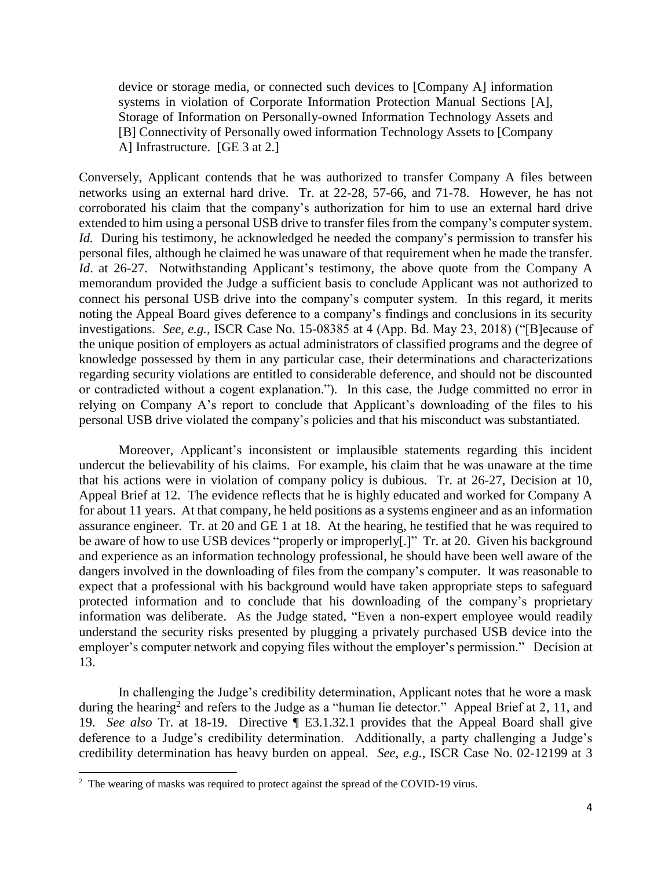device or storage media, or connected such devices to [Company A] information Storage of Information on Personally-owned Information Technology Assets and systems in violation of Corporate Information Protection Manual Sections [A], [B] Connectivity of Personally owed information Technology Assets to [Company A] Infrastructure. [GE 3 at 2.]

 networks using an external hard drive. Tr. at 22-28, 57-66, and 71-78. However, he has not corroborated his claim that the company's authorization for him to use an external hard drive extended to him using a personal USB drive to transfer files from the company's computer system. *Id.* During his testimony, he acknowledged he needed the company's permission to transfer his personal files, although he claimed he was unaware of that requirement when he made the transfer. *Id*. at 26-27. Notwithstanding Applicant's testimony, the above quote from the Company A memorandum provided the Judge a sufficient basis to conclude Applicant was not authorized to connect his personal USB drive into the company's computer system. In this regard, it merits noting the Appeal Board gives deference to a company's findings and conclusions in its security investigations. *See, e.g.*, ISCR Case No. 15-08385 at 4 (App. Bd. May 23, 2018) ("[B]ecause of knowledge possessed by them in any particular case, their determinations and characterizations regarding security violations are entitled to considerable deference, and should not be discounted or contradicted without a cogent explanation."). In this case, the Judge committed no error in Conversely, Applicant contends that he was authorized to transfer Company A files between the unique position of employers as actual administrators of classified programs and the degree of relying on Company A's report to conclude that Applicant's downloading of the files to his personal USB drive violated the company's policies and that his misconduct was substantiated.

 that his actions were in violation of company policy is dubious. Tr. at 26-27, Decision at 10, Appeal Brief at 12. The evidence reflects that he is highly educated and worked for Company A assurance engineer. Tr. at 20 and GE 1 at 18. At the hearing, he testified that he was required to be aware of how to use USB devices "properly or improperly[.]" Tr. at 20. Given his background and experience as an information technology professional, he should have been well aware of the protected information and to conclude that his downloading of the company's proprietary information was deliberate. As the Judge stated, "Even a non-expert employee would readily understand the security risks presented by plugging a privately purchased USB device into the employer's computer network and copying files without the employer's permission." Decision at Moreover, Applicant's inconsistent or implausible statements regarding this incident undercut the believability of his claims. For example, his claim that he was unaware at the time for about 11 years. At that company, he held positions as a systems engineer and as an information dangers involved in the downloading of files from the company's computer. It was reasonable to expect that a professional with his background would have taken appropriate steps to safeguard 13.

 In challenging the Judge's credibility determination, Applicant notes that he wore a mask during the hearing<sup>2</sup> and refers to the Judge as a "human lie detector." Appeal Brief at 2, 11, and 19. *See also* Tr. at 18-19. Directive ¶ E3.1.32.1 provides that the Appeal Board shall give deference to a Judge's credibility determination. Additionally, a party challenging a Judge's credibility determination has heavy burden on appeal. *See, e.g.*, ISCR Case No. 02-12199 at 3

 $\overline{a}$ 

 $2$  The wearing of masks was required to protect against the spread of the COVID-19 virus.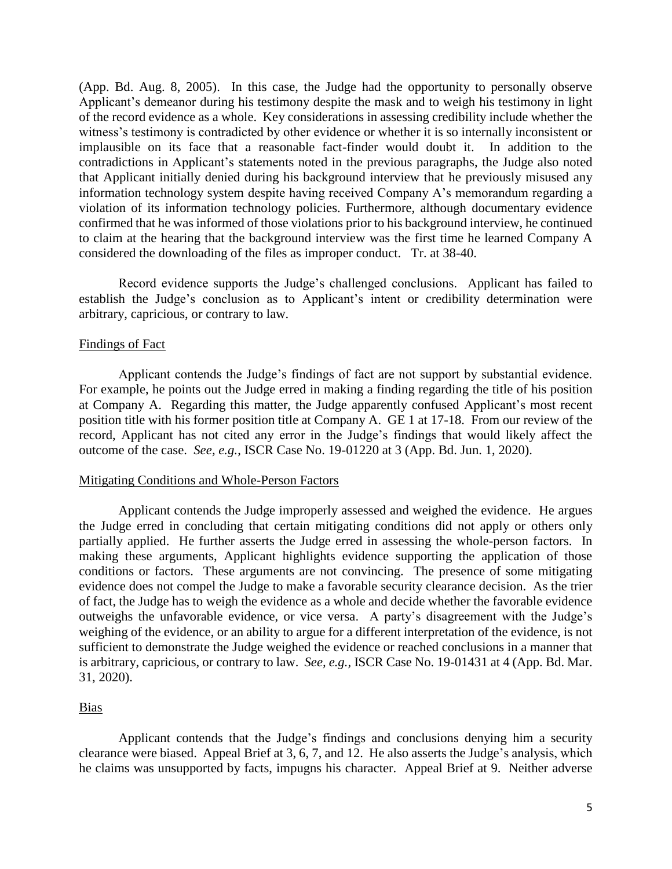(App. Bd. Aug. 8, 2005). In this case, the Judge had the opportunity to personally observe of the record evidence as a whole. Key considerations in assessing credibility include whether the implausible on its face that a reasonable fact-finder would doubt it. In addition to the information technology system despite having received Company A's memorandum regarding a violation of its information technology policies. Furthermore, although documentary evidence to claim at the hearing that the background interview was the first time he learned Company A Applicant's demeanor during his testimony despite the mask and to weigh his testimony in light witness's testimony is contradicted by other evidence or whether it is so internally inconsistent or contradictions in Applicant's statements noted in the previous paragraphs, the Judge also noted that Applicant initially denied during his background interview that he previously misused any confirmed that he was informed of those violations prior to his background interview, he continued considered the downloading of the files as improper conduct. Tr. at 38-40.

Record evidence supports the Judge's challenged conclusions. Applicant has failed to establish the Judge's conclusion as to Applicant's intent or credibility determination were arbitrary, capricious, or contrary to law.

### Findings of Fact

 For example, he points out the Judge erred in making a finding regarding the title of his position at Company A. Regarding this matter, the Judge apparently confused Applicant's most recent record, Applicant has not cited any error in the Judge's findings that would likely affect the Applicant contends the Judge's findings of fact are not support by substantial evidence. position title with his former position title at Company A. GE 1 at 17-18. From our review of the outcome of the case. *See, e.g.*, ISCR Case No. 19-01220 at 3 (App. Bd. Jun. 1, 2020).

### Mitigating Conditions and Whole-Person Factors

 Applicant contends the Judge improperly assessed and weighed the evidence. He argues the Judge erred in concluding that certain mitigating conditions did not apply or others only partially applied. He further asserts the Judge erred in assessing the whole-person factors. In making these arguments, Applicant highlights evidence supporting the application of those conditions or factors. These arguments are not convincing. The presence of some mitigating evidence does not compel the Judge to make a favorable security clearance decision. As the trier of fact, the Judge has to weigh the evidence as a whole and decide whether the favorable evidence weighing of the evidence, or an ability to argue for a different interpretation of the evidence, is not is arbitrary, capricious, or contrary to law. *See, e.g.,* ISCR Case No. 19-01431 at 4 (App. Bd. Mar. outweighs the unfavorable evidence, or vice versa. A party's disagreement with the Judge's sufficient to demonstrate the Judge weighed the evidence or reached conclusions in a manner that 31, 2020).

#### Bias

 Applicant contends that the Judge's findings and conclusions denying him a security clearance were biased. Appeal Brief at 3, 6, 7, and 12. He also asserts the Judge's analysis, which he claims was unsupported by facts, impugns his character. Appeal Brief at 9. Neither adverse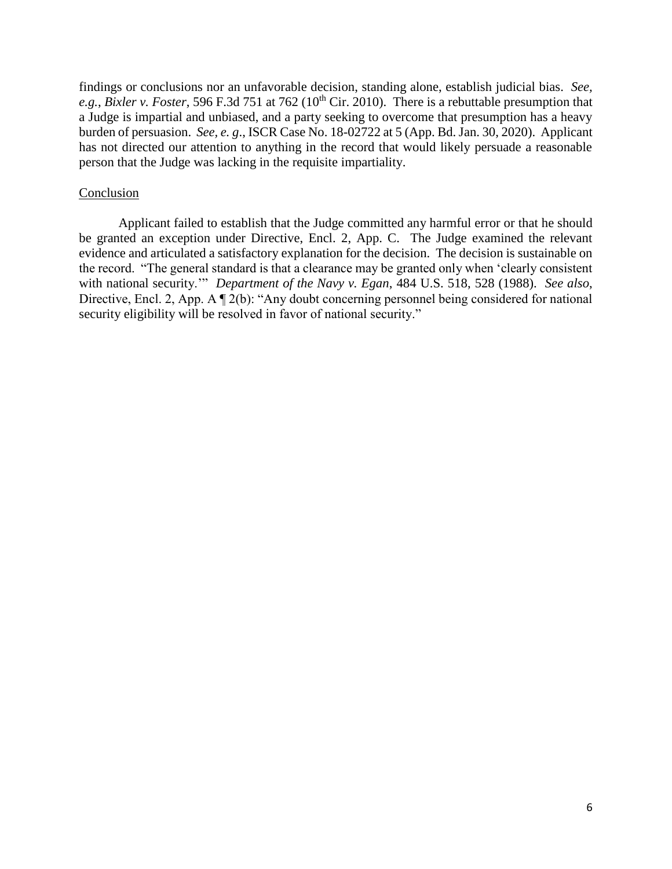e.g., *Bixler v. Foster*, 596 F.3d 751 at 762 (10<sup>th</sup> Cir. 2010). There is a rebuttable presumption that a Judge is impartial and unbiased, and a party seeking to overcome that presumption has a heavy burden of persuasion. *See, e. g*., ISCR Case No. 18-02722 at 5 (App. Bd. Jan. 30, 2020). Applicant has not directed our attention to anything in the record that would likely persuade a reasonable findings or conclusions nor an unfavorable decision, standing alone, establish judicial bias. *See,*  person that the Judge was lacking in the requisite impartiality.

#### Conclusion

 be granted an exception under Directive, Encl. 2, App. C. The Judge examined the relevant evidence and articulated a satisfactory explanation for the decision. The decision is sustainable on the record. "The general standard is that a clearance may be granted only when 'clearly consistent with national security.'" *Department of the Navy v. Egan*, 484 U.S. 518, 528 (1988). *See also*, security eligibility will be resolved in favor of national security." Applicant failed to establish that the Judge committed any harmful error or that he should Directive, Encl. 2, App. A  $\P$  2(b): "Any doubt concerning personnel being considered for national